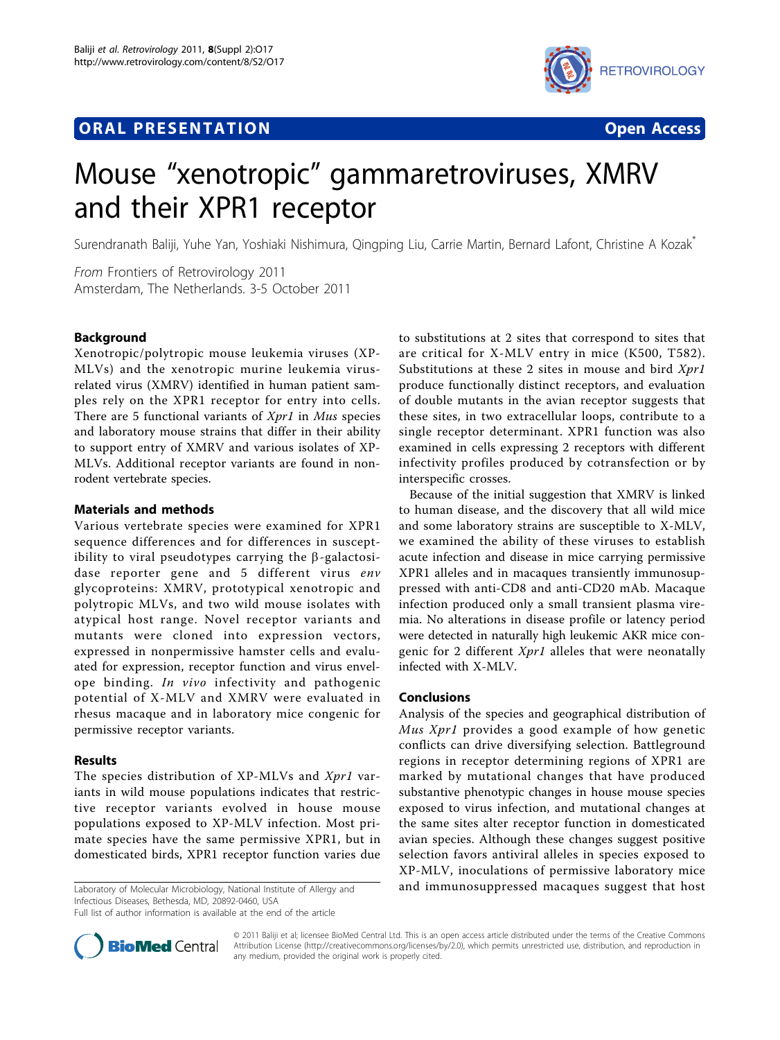# **ORAL PRESENTATION OPEN ACCESS**



# Mouse "xenotropic" gammaretroviruses, XMRV and their XPR1 receptor

Surendranath Baliji, Yuhe Yan, Yoshiaki Nishimura, Qingping Liu, Carrie Martin, Bernard Lafont, Christine A Kozak\*

From Frontiers of Retrovirology 2011 Amsterdam, The Netherlands. 3-5 October 2011

## Background

Xenotropic/polytropic mouse leukemia viruses (XP-MLVs) and the xenotropic murine leukemia virusrelated virus (XMRV) identified in human patient samples rely on the XPR1 receptor for entry into cells. There are 5 functional variants of *Xpr1* in *Mus* species and laboratory mouse strains that differ in their ability to support entry of XMRV and various isolates of XP-MLVs. Additional receptor variants are found in nonrodent vertebrate species.

### Materials and methods

Various vertebrate species were examined for XPR1 sequence differences and for differences in susceptibility to viral pseudotypes carrying the  $\beta$ -galactosidase reporter gene and 5 different virus env glycoproteins: XMRV, prototypical xenotropic and polytropic MLVs, and two wild mouse isolates with atypical host range. Novel receptor variants and mutants were cloned into expression vectors, expressed in nonpermissive hamster cells and evaluated for expression, receptor function and virus envelope binding. In vivo infectivity and pathogenic potential of X-MLV and XMRV were evaluated in rhesus macaque and in laboratory mice congenic for permissive receptor variants.

### Results

The species distribution of XP-MLVs and Xpr1 variants in wild mouse populations indicates that restrictive receptor variants evolved in house mouse populations exposed to XP-MLV infection. Most primate species have the same permissive XPR1, but in domesticated birds, XPR1 receptor function varies due

Infectious Diseases, Bethesda, MD, 20892-0460, USA

Full list of author information is available at the end of the article

to substitutions at 2 sites that correspond to sites that are critical for X-MLV entry in mice (K500, T582). Substitutions at these 2 sites in mouse and bird  $Xpr1$ produce functionally distinct receptors, and evaluation of double mutants in the avian receptor suggests that these sites, in two extracellular loops, contribute to a single receptor determinant. XPR1 function was also examined in cells expressing 2 receptors with different infectivity profiles produced by cotransfection or by interspecific crosses.

Because of the initial suggestion that XMRV is linked to human disease, and the discovery that all wild mice and some laboratory strains are susceptible to X-MLV, we examined the ability of these viruses to establish acute infection and disease in mice carrying permissive XPR1 alleles and in macaques transiently immunosuppressed with anti-CD8 and anti-CD20 mAb. Macaque infection produced only a small transient plasma viremia. No alterations in disease profile or latency period were detected in naturally high leukemic AKR mice congenic for 2 different  $Xpr1$  alleles that were neonatally infected with X-MLV.

#### Conclusions

Analysis of the species and geographical distribution of Mus Xpr1 provides a good example of how genetic conflicts can drive diversifying selection. Battleground regions in receptor determining regions of XPR1 are marked by mutational changes that have produced substantive phenotypic changes in house mouse species exposed to virus infection, and mutational changes at the same sites alter receptor function in domesticated avian species. Although these changes suggest positive selection favors antiviral alleles in species exposed to XP-MLV, inoculations of permissive laboratory mice Laboratory of Molecular Microbiology, National Institute of Allergy and and immunosuppressed macaques suggest that host



© 2011 Baliji et al; licensee BioMed Central Ltd. This is an open access article distributed under the terms of the Creative Commons Attribution License [\(http://creativecommons.org/licenses/by/2.0](http://creativecommons.org/licenses/by/2.0)), which permits unrestricted use, distribution, and reproduction in any medium, provided the original work is properly cited.